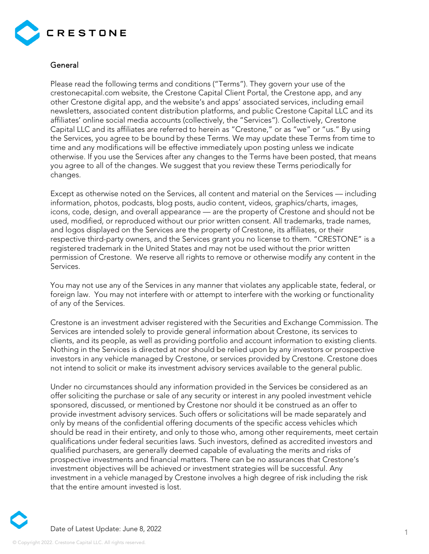

## General

Please read the following terms and conditions ("Terms"). They govern your use of the crestonecapital.com website, the Crestone Capital Client Portal, the Crestone app, and any other Crestone digital app, and the website's and apps' associated services, including email newsletters, associated content distribution platforms, and public Crestone Capital LLC and its affiliates' online social media accounts (collectively, the "Services"). Collectively, Crestone Capital LLC and its affiliates are referred to herein as "Crestone," or as "we" or "us." By using the Services, you agree to be bound by these Terms. We may update these Terms from time to time and any modifications will be effective immediately upon posting unless we indicate otherwise. If you use the Services after any changes to the Terms have been posted, that means you agree to all of the changes. We suggest that you review these Terms periodically for changes.

Except as otherwise noted on the Services, all content and material on the Services — including information, photos, podcasts, blog posts, audio content, videos, graphics/charts, images, icons, code, design, and overall appearance — are the property of Crestone and should not be used, modified, or reproduced without our prior written consent. All trademarks, trade names, and logos displayed on the Services are the property of Crestone, its affiliates, or their respective third-party owners, and the Services grant you no license to them. "CRESTONE" is a registered trademark in the United States and may not be used without the prior written permission of Crestone. We reserve all rights to remove or otherwise modify any content in the Services.

You may not use any of the Services in any manner that violates any applicable state, federal, or foreign law. You may not interfere with or attempt to interfere with the working or functionality of any of the Services.

Crestone is an investment adviser registered with the Securities and Exchange Commission. The Services are intended solely to provide general information about Crestone, its services to clients, and its people, as well as providing portfolio and account information to existing clients. Nothing in the Services is directed at nor should be relied upon by any investors or prospective investors in any vehicle managed by Crestone, or services provided by Crestone. Crestone does not intend to solicit or make its investment advisory services available to the general public.

Under no circumstances should any information provided in the Services be considered as an offer soliciting the purchase or sale of any security or interest in any pooled investment vehicle sponsored, discussed, or mentioned by Crestone nor should it be construed as an offer to provide investment advisory services. Such offers or solicitations will be made separately and only by means of the confidential offering documents of the specific access vehicles which should be read in their entirety, and only to those who, among other requirements, meet certain qualifications under federal securities laws. Such investors, defined as accredited investors and qualified purchasers, are generally deemed capable of evaluating the merits and risks of prospective investments and financial matters. There can be no assurances that Crestone's investment objectives will be achieved or investment strategies will be successful. Any investment in a vehicle managed by Crestone involves a high degree of risk including the risk that the entire amount invested is lost.

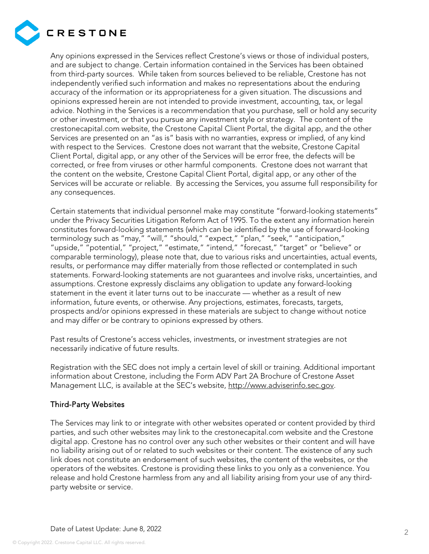

Any opinions expressed in the Services reflect Crestone's views or those of individual posters, and are subject to change. Certain information contained in the Services has been obtained from third-party sources. While taken from sources believed to be reliable, Crestone has not independently verified such information and makes no representations about the enduring accuracy of the information or its appropriateness for a given situation. The discussions and opinions expressed herein are not intended to provide investment, accounting, tax, or legal advice. Nothing in the Services is a recommendation that you purchase, sell or hold any security or other investment, or that you pursue any investment style or strategy. The content of the crestonecapital.com website, the Crestone Capital Client Portal, the digital app, and the other Services are presented on an "as is" basis with no warranties, express or implied, of any kind with respect to the Services. Crestone does not warrant that the website, Crestone Capital Client Portal, digital app, or any other of the Services will be error free, the defects will be corrected, or free from viruses or other harmful components. Crestone does not warrant that the content on the website, Crestone Capital Client Portal, digital app, or any other of the Services will be accurate or reliable. By accessing the Services, you assume full responsibility for any consequences.

Certain statements that individual personnel make may constitute "forward-looking statements" under the Privacy Securities Litigation Reform Act of 1995. To the extent any information herein constitutes forward-looking statements (which can be identified by the use of forward-looking terminology such as "may," "will," "should," "expect," "plan," "seek," "anticipation," "upside," "potential," "project," "estimate," "intend," "forecast," "target" or "believe" or comparable terminology), please note that, due to various risks and uncertainties, actual events, results, or performance may differ materially from those reflected or contemplated in such statements. Forward-looking statements are not guarantees and involve risks, uncertainties, and assumptions. Crestone expressly disclaims any obligation to update any forward-looking statement in the event it later turns out to be inaccurate — whether as a result of new information, future events, or otherwise. Any projections, estimates, forecasts, targets, prospects and/or opinions expressed in these materials are subject to change without notice and may differ or be contrary to opinions expressed by others.

Past results of Crestone's access vehicles, investments, or investment strategies are not necessarily indicative of future results.

Registration with the SEC does not imply a certain level of skill or training. Additional important information about Crestone, including the Form ADV Part 2A Brochure of Crestone Asset Management LLC, is available at the SEC's website, [http://www.adviserinfo.sec.gov.](http://www.adviserinfo.sec.gov/)

## Third-Party Websites

The Services may link to or integrate with other websites operated or content provided by third parties, and such other websites may link to the crestonecapital.com website and the Crestone digital app. Crestone has no control over any such other websites or their content and will have no liability arising out of or related to such websites or their content. The existence of any such link does not constitute an endorsement of such websites, the content of the websites, or the operators of the websites. Crestone is providing these links to you only as a convenience. You release and hold Crestone harmless from any and all liability arising from your use of any thirdparty website or service.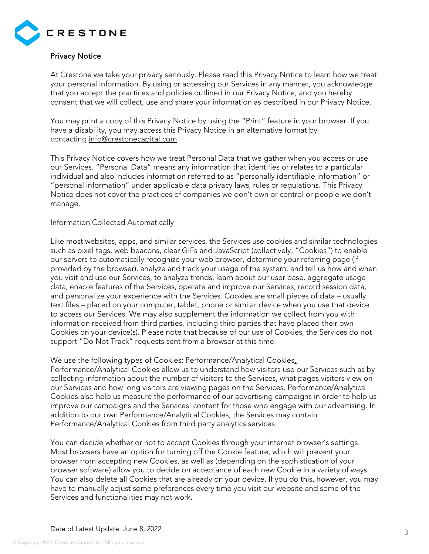

## Privacy Notice

At Crestone we take your privacy seriously. Please read this Privacy Notice to learn how we treat your personal information. By using or accessing our Services in any manner, you acknowledge that you accept the practices and policies outlined in our Privacy Notice, and you hereby consent that we will collect, use and share your information as described in our Privacy Notice.

You may print a copy of this Privacy Notice by using the "Print" feature in your browser. If you have a disability, you may access this Privacy Notice in an alternative format by contacting [info@crestonecapital.com.](mailto:info@Crestone.com)

This Privacy Notice covers how we treat Personal Data that we gather when you access or use our Services. "Personal Data" means any information that identifies or relates to a particular individual and also includes information referred to as "personally identifiable information" or "personal information" under applicable data privacy laws, rules or regulations. This Privacy Notice does not cover the practices of companies we don't own or control or people we don't manage.

#### Information Collected Automatically

Like most websites, apps, and similar services, the Services use cookies and similar technologies such as pixel tags, web beacons, clear GIFs and JavaScript (collectively, "Cookies") to enable our servers to automatically recognize your web browser, determine your referring page (if provided by the browser), analyze and track your usage of the system, and tell us how and when you visit and use our Services, to analyze trends, learn about our user base, aggregate usage data, enable features of the Services, operate and improve our Services, record session data, and personalize your experience with the Services. Cookies are small pieces of data – usually text files – placed on your computer, tablet, phone or similar device when you use that device to access our Services. We may also supplement the information we collect from you with information received from third parties, including third parties that have placed their own Cookies on your device(s). Please note that because of our use of Cookies, the Services do not support "Do Not Track" requests sent from a browser at this time.

#### We use the following types of Cookies: Performance/Analytical Cookies.

Performance/Analytical Cookies allow us to understand how visitors use our Services such as by collecting information about the number of visitors to the Services, what pages visitors view on our Services and how long visitors are viewing pages on the Services. Performance/Analytical Cookies also help us measure the performance of our advertising campaigns in order to help us improve our campaigns and the Services' content for those who engage with our advertising. In addition to our own Performance/Analytical Cookies, the Services may contain Performance/Analytical Cookies from third party analytics services.

You can decide whether or not to accept Cookies through your internet browser's settings. Most browsers have an option for turning off the Cookie feature, which will prevent your browser from accepting new Cookies, as well as (depending on the sophistication of your browser software) allow you to decide on acceptance of each new Cookie in a variety of ways. You can also delete all Cookies that are already on your device. If you do this, however, you may have to manually adjust some preferences every time you visit our website and some of the Services and functionalities may not work.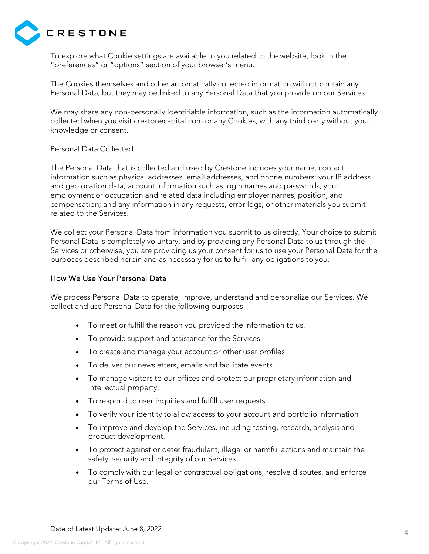

To explore what Cookie settings are available to you related to the website, look in the "preferences" or "options" section of your browser's menu.

The Cookies themselves and other automatically collected information will not contain any Personal Data, but they may be linked to any Personal Data that you provide on our Services.

We may share any non-personally identifiable information, such as the information automatically collected when you visit crestonecapital.com or any Cookies, with any third party without your knowledge or consent.

#### Personal Data Collected

The Personal Data that is collected and used by Crestone includes your name, contact information such as physical addresses, email addresses, and phone numbers; your IP address and geolocation data; account information such as login names and passwords; your employment or occupation and related data including employer names, position, and compensation; and any information in any requests, error logs, or other materials you submit related to the Services.

We collect your Personal Data from information you submit to us directly. Your choice to submit Personal Data is completely voluntary, and by providing any Personal Data to us through the Services or otherwise, you are providing us your consent for us to use your Personal Data for the purposes described herein and as necessary for us to fulfill any obligations to you.

#### How We Use Your Personal Data

We process Personal Data to operate, improve, understand and personalize our Services. We collect and use Personal Data for the following purposes:

- To meet or fulfill the reason you provided the information to us.
- To provide support and assistance for the Services.
- To create and manage your account or other user profiles.
- To deliver our newsletters, emails and facilitate events.
- To manage visitors to our offices and protect our proprietary information and intellectual property.
- To respond to user inquiries and fulfill user requests.
- To verify your identity to allow access to your account and portfolio information
- To improve and develop the Services, including testing, research, analysis and product development.
- To protect against or deter fraudulent, illegal or harmful actions and maintain the safety, security and integrity of our Services.
- To comply with our legal or contractual obligations, resolve disputes, and enforce our Terms of Use.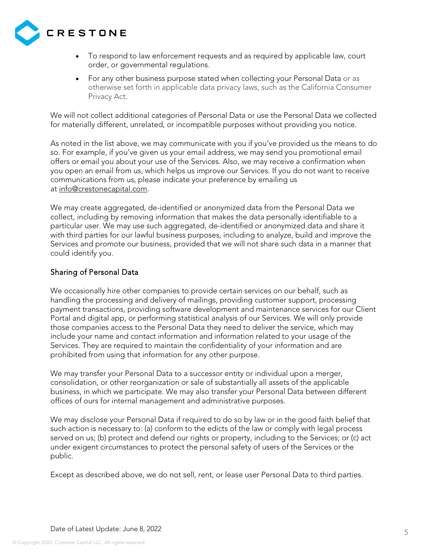

- To respond to law enforcement requests and as required by applicable law, court order, or governmental regulations.
- For any other business purpose stated when collecting your Personal Data or as otherwise set forth in applicable data privacy laws, such as the California Consumer Privacy Act.

We will not collect additional categories of Personal Data or use the Personal Data we collected for materially different, unrelated, or incompatible purposes without providing you notice.

As noted in the list above, we may communicate with you if you've provided us the means to do so. For example, if you've given us your email address, we may send you promotional email offers or email you about your use of the Services. Also, we may receive a confirmation when you open an email from us, which helps us improve our Services. If you do not want to receive communications from us, please indicate your preference by emailing us at [info@crestonecapital.com.](mailto:info@Crestone.com)

We may create aggregated, de-identified or anonymized data from the Personal Data we collect, including by removing information that makes the data personally identifiable to a particular user. We may use such aggregated, de-identified or anonymized data and share it with third parties for our lawful business purposes, including to analyze, build and improve the Services and promote our business, provided that we will not share such data in a manner that could identify you.

## Sharing of Personal Data

We occasionally hire other companies to provide certain services on our behalf, such as handling the processing and delivery of mailings, providing customer support, processing payment transactions, providing software development and maintenance services for our Client Portal and digital app, or performing statistical analysis of our Services. We will only provide those companies access to the Personal Data they need to deliver the service, which may include your name and contact information and information related to your usage of the Services. They are required to maintain the confidentiality of your information and are prohibited from using that information for any other purpose.

We may transfer your Personal Data to a successor entity or individual upon a merger, consolidation, or other reorganization or sale of substantially all assets of the applicable business, in which we participate. We may also transfer your Personal Data between different offices of ours for internal management and administrative purposes.

We may disclose your Personal Data if required to do so by law or in the good faith belief that such action is necessary to: (a) conform to the edicts of the law or comply with legal process served on us; (b) protect and defend our rights or property, including to the Services; or (c) act under exigent circumstances to protect the personal safety of users of the Services or the public.

Except as described above, we do not sell, rent, or lease user Personal Data to third parties.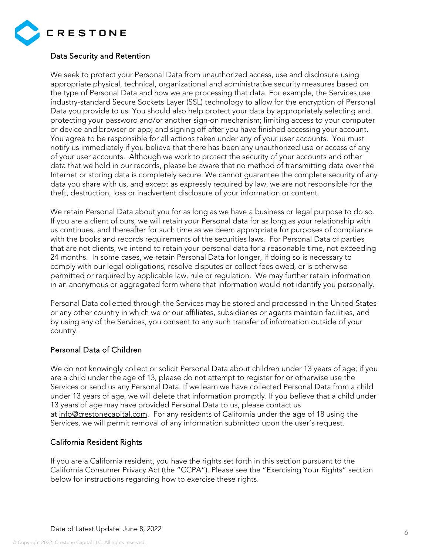

## Data Security and Retention

We seek to protect your Personal Data from unauthorized access, use and disclosure using appropriate physical, technical, organizational and administrative security measures based on the type of Personal Data and how we are processing that data. For example, the Services use industry-standard Secure Sockets Layer (SSL) technology to allow for the encryption of Personal Data you provide to us. You should also help protect your data by appropriately selecting and protecting your password and/or another sign-on mechanism; limiting access to your computer or device and browser or app; and signing off after you have finished accessing your account. You agree to be responsible for all actions taken under any of your user accounts. You must notify us immediately if you believe that there has been any unauthorized use or access of any of your user accounts. Although we work to protect the security of your accounts and other data that we hold in our records, please be aware that no method of transmitting data over the Internet or storing data is completely secure. We cannot guarantee the complete security of any data you share with us, and except as expressly required by law, we are not responsible for the theft, destruction, loss or inadvertent disclosure of your information or content.

We retain Personal Data about you for as long as we have a business or legal purpose to do so. If you are a client of ours, we will retain your Personal data for as long as your relationship with us continues, and thereafter for such time as we deem appropriate for purposes of compliance with the books and records requirements of the securities laws. For Personal Data of parties that are not clients, we intend to retain your personal data for a reasonable time, not exceeding 24 months. In some cases, we retain Personal Data for longer, if doing so is necessary to comply with our legal obligations, resolve disputes or collect fees owed, or is otherwise permitted or required by applicable law, rule or regulation. We may further retain information in an anonymous or aggregated form where that information would not identify you personally.

Personal Data collected through the Services may be stored and processed in the United States or any other country in which we or our affiliates, subsidiaries or agents maintain facilities, and by using any of the Services, you consent to any such transfer of information outside of your country.

## Personal Data of Children

We do not knowingly collect or solicit Personal Data about children under 13 years of age; if you are a child under the age of 13, please do not attempt to register for or otherwise use the Services or send us any Personal Data. If we learn we have collected Personal Data from a child under 13 years of age, we will delete that information promptly. If you believe that a child under 13 years of age may have provided Personal Data to us, please contact us at [info@crestonecapital.com.](mailto:info@Crestone.com) For any residents of California under the age of 18 using the Services, we will permit removal of any information submitted upon the user's request.

## California Resident Rights

If you are a California resident, you have the rights set forth in this section pursuant to the California Consumer Privacy Act (the "CCPA"). Please see the "Exercising Your Rights" section below for instructions regarding how to exercise these rights.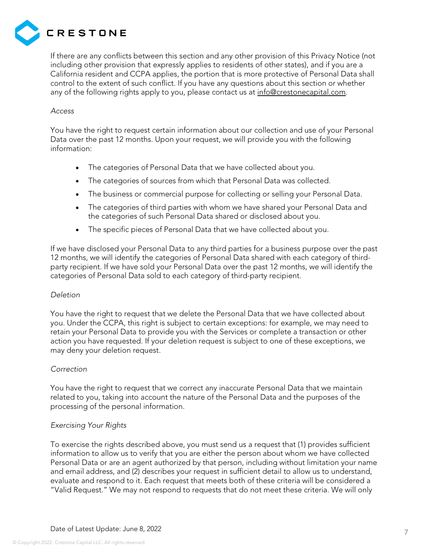

If there are any conflicts between this section and any other provision of this Privacy Notice (not including other provision that expressly applies to residents of other states), and if you are a California resident and CCPA applies, the portion that is more protective of Personal Data shall control to the extent of such conflict. If you have any questions about this section or whether any of the following rights apply to you, please contact us at [info@crestonecapital.com.](mailto:info@crestonecapital.com)

#### *Access*

You have the right to request certain information about our collection and use of your Personal Data over the past 12 months. Upon your request, we will provide you with the following information:

- The categories of Personal Data that we have collected about you.
- The categories of sources from which that Personal Data was collected.
- The business or commercial purpose for collecting or selling your Personal Data.
- The categories of third parties with whom we have shared your Personal Data and the categories of such Personal Data shared or disclosed about you.
- The specific pieces of Personal Data that we have collected about you.

If we have disclosed your Personal Data to any third parties for a business purpose over the past 12 months, we will identify the categories of Personal Data shared with each category of thirdparty recipient. If we have sold your Personal Data over the past 12 months, we will identify the categories of Personal Data sold to each category of third-party recipient.

## *Deletion*

You have the right to request that we delete the Personal Data that we have collected about you. Under the CCPA, this right is subject to certain exceptions: for example, we may need to retain your Personal Data to provide you with the Services or complete a transaction or other action you have requested. If your deletion request is subject to one of these exceptions, we may deny your deletion request.

## *Correction*

You have the right to request that we correct any inaccurate Personal Data that we maintain related to you, taking into account the nature of the Personal Data and the purposes of the processing of the personal information.

## *Exercising Your Rights*

To exercise the rights described above, you must send us a request that (1) provides sufficient information to allow us to verify that you are either the person about whom we have collected Personal Data or are an agent authorized by that person, including without limitation your name and email address, and (2) describes your request in sufficient detail to allow us to understand, evaluate and respond to it. Each request that meets both of these criteria will be considered a "Valid Request." We may not respond to requests that do not meet these criteria. We will only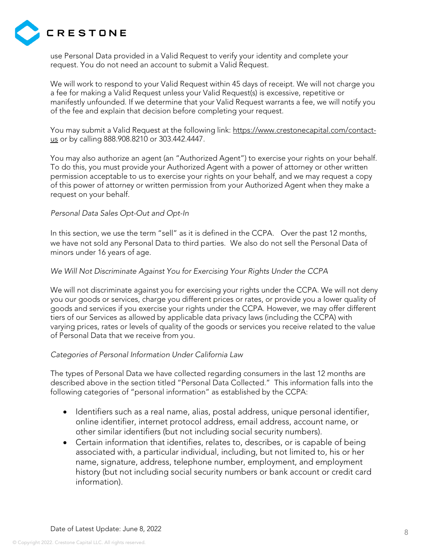

use Personal Data provided in a Valid Request to verify your identity and complete your request. You do not need an account to submit a Valid Request.

We will work to respond to your Valid Request within 45 days of receipt. We will not charge you a fee for making a Valid Request unless your Valid Request(s) is excessive, repetitive or manifestly unfounded. If we determine that your Valid Request warrants a fee, we will notify you of the fee and explain that decision before completing your request.

You may submit a Valid Request at the following link: [https://www.crestonecapital.com/contact](https://www.crestonecapital.com/contact-us)[us](https://www.crestonecapital.com/contact-us) or by calling [888.908.8210](tel:+18889088210) or 303.442.4447.

You may also authorize an agent (an "Authorized Agent") to exercise your rights on your behalf. To do this, you must provide your Authorized Agent with a power of attorney or other written permission acceptable to us to exercise your rights on your behalf, and we may request a copy of this power of attorney or written permission from your Authorized Agent when they make a request on your behalf.

#### *Personal Data Sales Opt-Out and Opt-In*

In this section, we use the term "sell" as it is defined in the CCPA. Over the past 12 months, we have not sold any Personal Data to third parties. We also do not sell the Personal Data of minors under 16 years of age.

#### *We Will Not Discriminate Against You for Exercising Your Rights Under the CCPA*

We will not discriminate against you for exercising your rights under the CCPA. We will not deny you our goods or services, charge you different prices or rates, or provide you a lower quality of goods and services if you exercise your rights under the CCPA. However, we may offer different tiers of our Services as allowed by applicable data privacy laws (including the CCPA) with varying prices, rates or levels of quality of the goods or services you receive related to the value of Personal Data that we receive from you.

#### *Categories of Personal Information Under California Law*

The types of Personal Data we have collected regarding consumers in the last 12 months are described above in the section titled "Personal Data Collected." This information falls into the following categories of "personal information" as established by the CCPA:

- Identifiers such as a real name, alias, postal address, unique personal identifier, online identifier, internet protocol address, email address, account name, or other similar identifiers (but not including social security numbers).
- Certain information that identifies, relates to, describes, or is capable of being associated with, a particular individual, including, but not limited to, his or her name, signature, address, telephone number, employment, and employment history (but not including social security numbers or bank account or credit card information).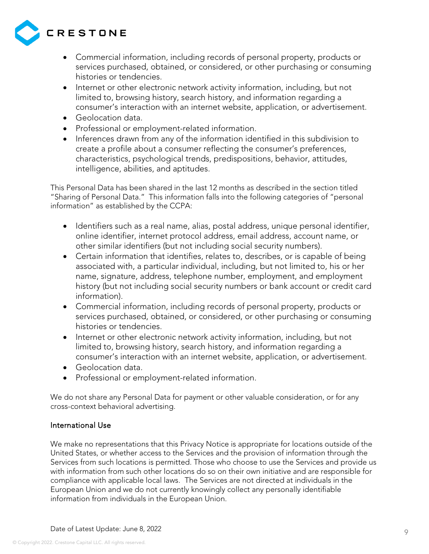

- Commercial information, including records of personal property, products or services purchased, obtained, or considered, or other purchasing or consuming histories or tendencies.
- Internet or other electronic network activity information, including, but not limited to, browsing history, search history, and information regarding a consumer's interaction with an internet website, application, or advertisement.
- Geolocation data.
- Professional or employment-related information.
- Inferences drawn from any of the information identified in this subdivision to create a profile about a consumer reflecting the consumer's preferences, characteristics, psychological trends, predispositions, behavior, attitudes, intelligence, abilities, and aptitudes.

This Personal Data has been shared in the last 12 months as described in the section titled "Sharing of Personal Data." This information falls into the following categories of "personal information" as established by the CCPA:

- Identifiers such as a real name, alias, postal address, unique personal identifier, online identifier, internet protocol address, email address, account name, or other similar identifiers (but not including social security numbers).
- Certain information that identifies, relates to, describes, or is capable of being associated with, a particular individual, including, but not limited to, his or her name, signature, address, telephone number, employment, and employment history (but not including social security numbers or bank account or credit card information).
- Commercial information, including records of personal property, products or services purchased, obtained, or considered, or other purchasing or consuming histories or tendencies.
- Internet or other electronic network activity information, including, but not limited to, browsing history, search history, and information regarding a consumer's interaction with an internet website, application, or advertisement.
- Geolocation data.
- Professional or employment-related information.

We do not share any Personal Data for payment or other valuable consideration, or for any cross-context behavioral advertising.

## International Use

We make no representations that this Privacy Notice is appropriate for locations outside of the United States, or whether access to the Services and the provision of information through the Services from such locations is permitted. Those who choose to use the Services and provide us with information from such other locations do so on their own initiative and are responsible for compliance with applicable local laws. The Services are not directed at individuals in the European Union and we do not currently knowingly collect any personally identifiable information from individuals in the European Union.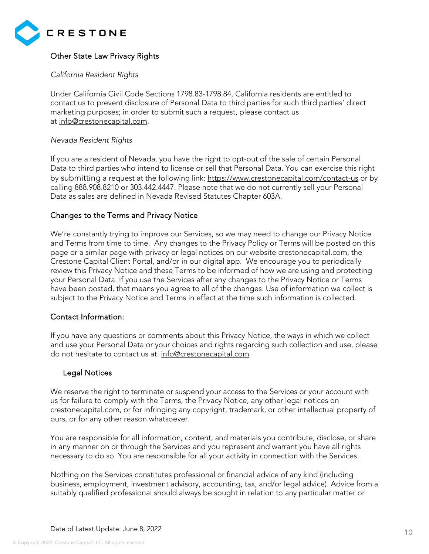

# Other State Law Privacy Rights

## *California Resident Rights*

Under California Civil Code Sections 1798.83-1798.84, California residents are entitled to contact us to prevent disclosure of Personal Data to third parties for such third parties' direct marketing purposes; in order to submit such a request, please contact us at [info@crestonecapital.com.](mailto:info@Crestone.com)

## *Nevada Resident Rights*

If you are a resident of Nevada, you have the right to opt-out of the sale of certain Personal Data to third parties who intend to license or sell that Personal Data. You can exercise this right by [submitting](mailto:submitting) a request at the following link:<https://www.crestonecapital.com/contact-us> or by calling [888.908.8210](tel:+18889088210) or 303.442.4447. Please note that we do not currently sell your Personal Data as sales are defined in Nevada Revised Statutes Chapter 603A.

## Changes to the Terms and Privacy Notice

We're constantly trying to improve our Services, so we may need to change our Privacy Notice and Terms from time to time. Any changes to the Privacy Policy or Terms will be posted on this page or a similar page with privacy or legal notices on our website crestonecapital.com, the Crestone Capital Client Portal, and/or in our digital app. We encourage you to periodically review this Privacy Notice and these Terms to be informed of how we are using and protecting your Personal Data. If you use the Services after any changes to the Privacy Notice or Terms have been posted, that means you agree to all of the changes. Use of information we collect is subject to the Privacy Notice and Terms in effect at the time such information is collected.

## Contact Information:

If you have any questions or comments about this Privacy Notice, the ways in which we collect and use your Personal Data or your choices and rights regarding such collection and use, please do not hesitate to contact us at: [info@crestonecapital.com](mailto:info@crestonecapital.com)

## Legal Notices

We reserve the right to terminate or suspend your access to the Services or your account with us for failure to comply with the Terms, the Privacy Notice, any other legal notices on crestonecapital.com, or for infringing any copyright, trademark, or other intellectual property of ours, or for any other reason whatsoever.

You are responsible for all information, content, and materials you contribute, disclose, or share in any manner on or through the Services and you represent and warrant you have all rights necessary to do so. You are responsible for all your activity in connection with the Services.

Nothing on the Services constitutes professional or financial advice of any kind (including business, employment, investment advisory, accounting, tax, and/or legal advice). Advice from a suitably qualified professional should always be sought in relation to any particular matter or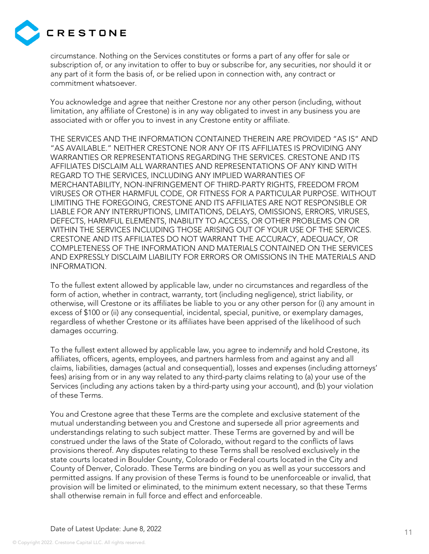

circumstance. Nothing on the Services constitutes or forms a part of any offer for sale or subscription of, or any invitation to offer to buy or subscribe for, any securities, nor should it or any part of it form the basis of, or be relied upon in connection with, any contract or commitment whatsoever.

You acknowledge and agree that neither Crestone nor any other person (including, without limitation, any affiliate of Crestone) is in any way obligated to invest in any business you are associated with or offer you to invest in any Crestone entity or affiliate.

THE SERVICES AND THE INFORMATION CONTAINED THEREIN ARE PROVIDED "AS IS" AND "AS AVAILABLE." NEITHER CRESTONE NOR ANY OF ITS AFFILIATES IS PROVIDING ANY WARRANTIES OR REPRESENTATIONS REGARDING THE SERVICES. CRESTONE AND ITS AFFILIATES DISCLAIM ALL WARRANTIES AND REPRESENTATIONS OF ANY KIND WITH REGARD TO THE SERVICES, INCLUDING ANY IMPLIED WARRANTIES OF MERCHANTABILITY, NON-INFRINGEMENT OF THIRD-PARTY RIGHTS, FREEDOM FROM VIRUSES OR OTHER HARMFUL CODE, OR FITNESS FOR A PARTICULAR PURPOSE. WITHOUT LIMITING THE FOREGOING, CRESTONE AND ITS AFFILIATES ARE NOT RESPONSIBLE OR LIABLE FOR ANY INTERRUPTIONS, LIMITATIONS, DELAYS, OMISSIONS, ERRORS, VIRUSES, DEFECTS, HARMFUL ELEMENTS, INABILITY TO ACCESS, OR OTHER PROBLEMS ON OR WITHIN THE SERVICES INCLUDING THOSE ARISING OUT OF YOUR USE OF THE SERVICES. CRESTONE AND ITS AFFILIATES DO NOT WARRANT THE ACCURACY, ADEQUACY, OR COMPLETENESS OF THE INFORMATION AND MATERIALS CONTAINED ON THE SERVICES AND EXPRESSLY DISCLAIM LIABILITY FOR ERRORS OR OMISSIONS IN THE MATERIALS AND INFORMATION.

To the fullest extent allowed by applicable law, under no circumstances and regardless of the form of action, whether in contract, warranty, tort (including negligence), strict liability, or otherwise, will Crestone or its affiliates be liable to you or any other person for (i) any amount in excess of \$100 or (ii) any consequential, incidental, special, punitive, or exemplary damages, regardless of whether Crestone or its affiliates have been apprised of the likelihood of such damages occurring.

To the fullest extent allowed by applicable law, you agree to indemnify and hold Crestone, its affiliates, officers, agents, employees, and partners harmless from and against any and all claims, liabilities, damages (actual and consequential), losses and expenses (including attorneys' fees) arising from or in any way related to any third-party claims relating to (a) your use of the Services (including any actions taken by a third-party using your account), and (b) your violation of these Terms.

You and Crestone agree that these Terms are the complete and exclusive statement of the mutual understanding between you and Crestone and supersede all prior agreements and understandings relating to such subject matter. These Terms are governed by and will be construed under the laws of the State of Colorado, without regard to the conflicts of laws provisions thereof. Any disputes relating to these Terms shall be resolved exclusively in the state courts located in Boulder County, Colorado or Federal courts located in the City and County of Denver, Colorado. These Terms are binding on you as well as your successors and permitted assigns. If any provision of these Terms is found to be unenforceable or invalid, that provision will be limited or eliminated, to the minimum extent necessary, so that these Terms shall otherwise remain in full force and effect and enforceable.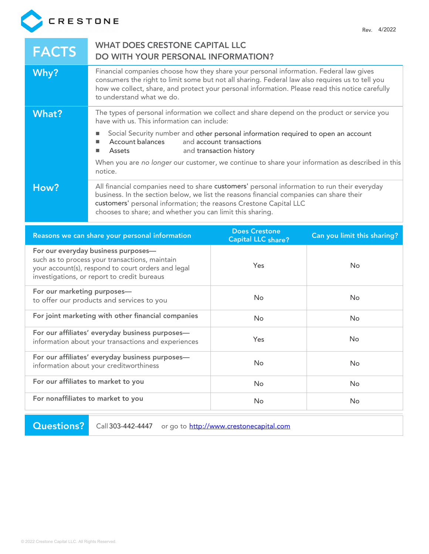

| <b>FACTS</b>                                                                                                                                                                               | <b>WHAT DOES CRESTONE CAPITAL LLC</b><br><b>DO WITH YOUR PERSONAL INFORMATION?</b>                                                                                                                                                                                                                                        |                                                     |                             |
|--------------------------------------------------------------------------------------------------------------------------------------------------------------------------------------------|---------------------------------------------------------------------------------------------------------------------------------------------------------------------------------------------------------------------------------------------------------------------------------------------------------------------------|-----------------------------------------------------|-----------------------------|
| Why?                                                                                                                                                                                       | Financial companies choose how they share your personal information. Federal law gives<br>consumers the right to limit some but not all sharing. Federal law also requires us to tell you<br>how we collect, share, and protect your personal information. Please read this notice carefully<br>to understand what we do. |                                                     |                             |
| <b>What?</b>                                                                                                                                                                               | The types of personal information we collect and share depend on the product or service you<br>have with us. This information can include:                                                                                                                                                                                |                                                     |                             |
|                                                                                                                                                                                            | Social Security number and other personal information required to open an account<br>Account balances<br>Assets<br>п                                                                                                                                                                                                      | and account transactions<br>and transaction history |                             |
|                                                                                                                                                                                            | When you are no longer our customer, we continue to share your information as described in this<br>notice.                                                                                                                                                                                                                |                                                     |                             |
| How?                                                                                                                                                                                       | All financial companies need to share customers' personal information to run their everyday<br>business. In the section below, we list the reasons financial companies can share their<br>customers' personal information; the reasons Crestone Capital LLC<br>chooses to share; and whether you can limit this sharing.  |                                                     |                             |
|                                                                                                                                                                                            | Reasons we can share your personal information                                                                                                                                                                                                                                                                            | <b>Does Crestone</b><br><b>Capital LLC share?</b>   | Can you limit this sharing? |
| For our everyday business purposes-<br>such as to process your transactions, maintain<br>your account(s), respond to court orders and legal<br>investigations, or report to credit bureaus |                                                                                                                                                                                                                                                                                                                           |                                                     |                             |
|                                                                                                                                                                                            |                                                                                                                                                                                                                                                                                                                           | Yes                                                 | <b>No</b>                   |
| For our marketing purposes-                                                                                                                                                                | to offer our products and services to you                                                                                                                                                                                                                                                                                 | No                                                  | No                          |
|                                                                                                                                                                                            | For joint marketing with other financial companies                                                                                                                                                                                                                                                                        | No                                                  | No                          |
|                                                                                                                                                                                            | For our affiliates' everyday business purposes-<br>information about your transactions and experiences                                                                                                                                                                                                                    | Yes                                                 | No                          |
|                                                                                                                                                                                            | For our affiliates' everyday business purposes-<br>information about your creditworthiness                                                                                                                                                                                                                                | No                                                  | No                          |
|                                                                                                                                                                                            | For our affiliates to market to you                                                                                                                                                                                                                                                                                       | No                                                  | No                          |

Questions? Call 303-442-4447 or go to [http://www.crestonecapital.com](http://www.crestonecapital.com/)